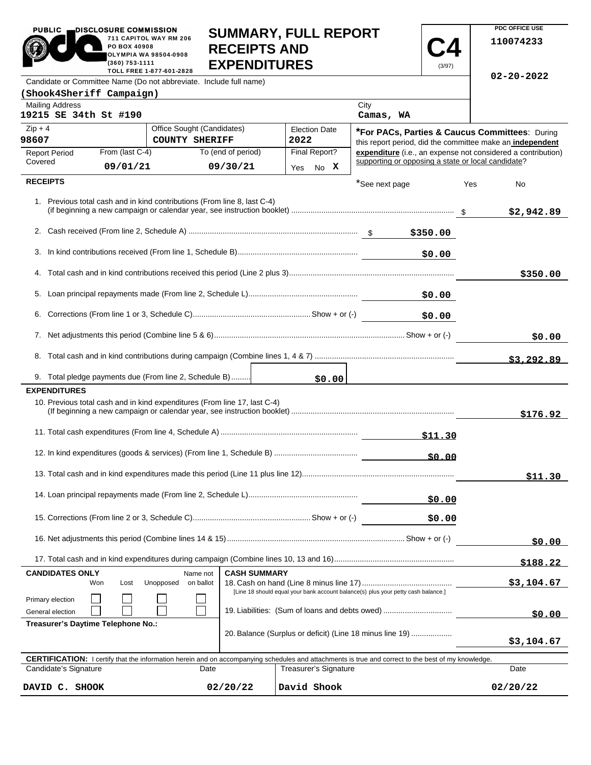| PUBLIC <sub>1</sub>                                                                                                                                        | DISCLOSURE COMMISSION                                                                                                      |                                                        |                            |                     | <b>SUMMARY, FULL REPORT</b> |                   |            | PDC OFFICE USE                                                                                                     |
|------------------------------------------------------------------------------------------------------------------------------------------------------------|----------------------------------------------------------------------------------------------------------------------------|--------------------------------------------------------|----------------------------|---------------------|-----------------------------|-------------------|------------|--------------------------------------------------------------------------------------------------------------------|
|                                                                                                                                                            | PO BOX 40908<br>(360) 753-1111                                                                                             | 711 CAPITOL WAY RM 206<br><b>OLYMPIA WA 98504-0908</b> | <b>RECEIPTS AND</b>        |                     | <b>EXPENDITURES</b>         |                   | (3/97)     | 110074233                                                                                                          |
| Candidate or Committee Name (Do not abbreviate. Include full name)                                                                                         |                                                                                                                            | TOLL FREE 1-877-601-2828                               |                            |                     |                             |                   |            | $02 - 20 - 2022$                                                                                                   |
| (Shook4Sheriff Campaign)                                                                                                                                   |                                                                                                                            |                                                        |                            |                     |                             |                   |            |                                                                                                                    |
| <b>Mailing Address</b><br>19215 SE 34th St #190                                                                                                            |                                                                                                                            |                                                        |                            |                     |                             | City<br>Camas, WA |            |                                                                                                                    |
| $Zip + 4$                                                                                                                                                  |                                                                                                                            |                                                        | Office Sought (Candidates) |                     | <b>Election Date</b>        |                   |            | *For PACs, Parties & Caucus Committees: During                                                                     |
| 98607                                                                                                                                                      |                                                                                                                            | <b>COUNTY SHERIFF</b>                                  |                            |                     | 2022                        |                   |            | this report period, did the committee make an independent                                                          |
| <b>Report Period</b><br>Covered                                                                                                                            | From (last C-4)                                                                                                            |                                                        | To (end of period)         |                     | Final Report?               |                   |            | expenditure (i.e., an expense not considered a contribution)<br>supporting or opposing a state or local candidate? |
|                                                                                                                                                            | 09/01/21                                                                                                                   |                                                        | 09/30/21                   |                     | No X<br>Yes                 |                   |            |                                                                                                                    |
| <b>RECEIPTS</b>                                                                                                                                            |                                                                                                                            |                                                        |                            |                     |                             | *See next page    |            | Yes<br>No                                                                                                          |
| 1. Previous total cash and in kind contributions (From line 8, last C-4)                                                                                   |                                                                                                                            |                                                        |                            |                     |                             |                   |            | \$2,942.89                                                                                                         |
|                                                                                                                                                            |                                                                                                                            |                                                        |                            |                     |                             |                   |            |                                                                                                                    |
| 3.                                                                                                                                                         |                                                                                                                            |                                                        |                            |                     |                             |                   | \$0.00     |                                                                                                                    |
|                                                                                                                                                            |                                                                                                                            |                                                        |                            |                     |                             |                   |            | \$350.00                                                                                                           |
|                                                                                                                                                            |                                                                                                                            |                                                        |                            |                     |                             |                   | \$0.00     |                                                                                                                    |
|                                                                                                                                                            | \$0.00                                                                                                                     |                                                        |                            |                     |                             |                   |            |                                                                                                                    |
|                                                                                                                                                            |                                                                                                                            |                                                        |                            |                     |                             |                   | \$0.00     |                                                                                                                    |
|                                                                                                                                                            |                                                                                                                            |                                                        |                            |                     |                             |                   |            | \$3,292.89                                                                                                         |
| 9. Total pledge payments due (From line 2, Schedule B)                                                                                                     |                                                                                                                            |                                                        |                            |                     | \$0.00                      |                   |            |                                                                                                                    |
| <b>EXPENDITURES</b>                                                                                                                                        |                                                                                                                            |                                                        |                            |                     |                             |                   |            |                                                                                                                    |
| 10. Previous total cash and in kind expenditures (From line 17, last C-4)                                                                                  |                                                                                                                            |                                                        |                            |                     |                             |                   |            | \$176.92                                                                                                           |
|                                                                                                                                                            |                                                                                                                            |                                                        |                            |                     |                             |                   | \$11.30    |                                                                                                                    |
|                                                                                                                                                            |                                                                                                                            |                                                        |                            |                     |                             |                   | \$0.00     |                                                                                                                    |
|                                                                                                                                                            |                                                                                                                            |                                                        |                            |                     |                             |                   |            | \$11.30                                                                                                            |
|                                                                                                                                                            |                                                                                                                            |                                                        |                            |                     |                             |                   | \$0.00     |                                                                                                                    |
|                                                                                                                                                            |                                                                                                                            |                                                        |                            |                     |                             |                   | \$0.00     |                                                                                                                    |
|                                                                                                                                                            |                                                                                                                            |                                                        |                            |                     |                             |                   |            | \$0.00                                                                                                             |
|                                                                                                                                                            |                                                                                                                            |                                                        |                            |                     |                             |                   |            | \$188.22                                                                                                           |
| <b>CANDIDATES ONLY</b>                                                                                                                                     |                                                                                                                            |                                                        | Name not                   | <b>CASH SUMMARY</b> |                             |                   |            |                                                                                                                    |
| Primary election                                                                                                                                           | Won<br>Lost<br>Unopposed<br>on ballot<br>[Line 18 should equal your bank account balance(s) plus your petty cash balance.] |                                                        |                            |                     |                             |                   | \$3,104.67 |                                                                                                                    |
| General election                                                                                                                                           | 19. Liabilities: (Sum of loans and debts owed)                                                                             |                                                        |                            |                     |                             |                   | \$0.00     |                                                                                                                    |
|                                                                                                                                                            | Treasurer's Daytime Telephone No.:<br>20. Balance (Surplus or deficit) (Line 18 minus line 19)                             |                                                        |                            |                     |                             |                   | \$3,104.67 |                                                                                                                    |
| <b>CERTIFICATION:</b> I certify that the information herein and on accompanying schedules and attachments is true and correct to the best of my knowledge. |                                                                                                                            |                                                        |                            |                     |                             |                   |            |                                                                                                                    |
| Candidate's Signature                                                                                                                                      |                                                                                                                            |                                                        | Date                       |                     | Treasurer's Signature       |                   |            | Date                                                                                                               |
| DAVID C. SHOOK                                                                                                                                             |                                                                                                                            |                                                        | 02/20/22                   |                     | David Shook                 |                   |            | 02/20/22                                                                                                           |